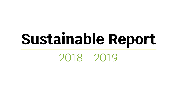# **Sustainable Report**

2018 - 2019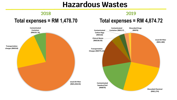# **Hazardous Wastes**

### **2018**

# **Total expenses = RM 1,478.70**

# **Total expenses = RM 4,874.72**

**2019**

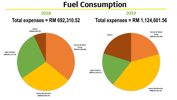# **Fuel Consumption**

### **2018**

## **Total expenses = RM 692,310.52**

# **Total expenses = RM 1,124,601.56**

**2019**

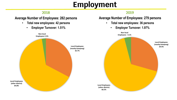# **Employment**

### **2018**

#### **Average Number of Employees: 282 persons**

- **Total new employees: 42 persons**
	- **Employer Turnover: 1.51%**

#### **2019**

#### **Average Number of Employees: 279 persons**

- **Total new employees: 36 persons**
	- **Employer Turnover: 1.97%**

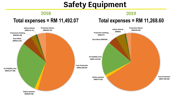# **Safety Equipment**

#### **2018**

### **2019**

### **Total expenses = RM 11,492.07**

## **Total expenses = RM 11,268.60**

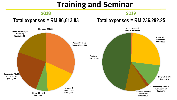# **Training and Seminar**

### **2018**

## **Total expenses = RM 86,613.83**

# **Total expenses = RM 236,292.25**

**2019**